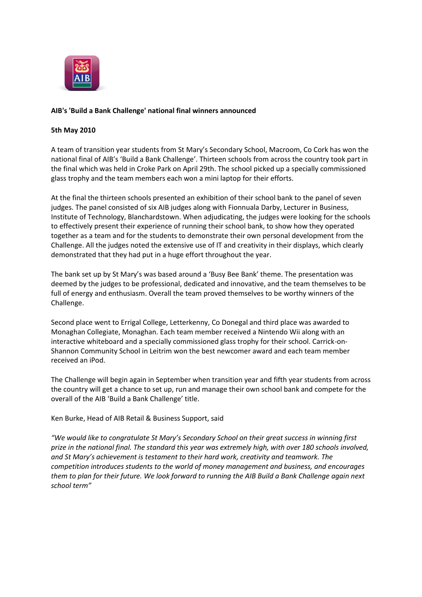

## **AIB's 'Build a Bank Challenge' national final winners announced**

## **5th May 2010**

A team of transition year students from St Mary's Secondary School, Macroom, Co Cork has won the national final of AIB's 'Build a Bank Challenge'. Thirteen schools from across the country took part in the final which was held in Croke Park on April 29th. The school picked up a specially commissioned glass trophy and the team members each won a mini laptop for their efforts.

At the final the thirteen schools presented an exhibition of their school bank to the panel of seven judges. The panel consisted of six AIB judges along with Fionnuala Darby, Lecturer in Business, Institute of Technology, Blanchardstown. When adjudicating, the judges were looking for the schools to effectively present their experience of running their school bank, to show how they operated together as a team and for the students to demonstrate their own personal development from the Challenge. All the judges noted the extensive use of IT and creativity in their displays, which clearly demonstrated that they had put in a huge effort throughout the year.

The bank set up by St Mary's was based around a 'Busy Bee Bank' theme. The presentation was deemed by the judges to be professional, dedicated and innovative, and the team themselves to be full of energy and enthusiasm. Overall the team proved themselves to be worthy winners of the Challenge.

Second place went to Errigal College, Letterkenny, Co Donegal and third place was awarded to Monaghan Collegiate, Monaghan. Each team member received a Nintendo Wii along with an interactive whiteboard and a specially commissioned glass trophy for their school. Carrick-on-Shannon Community School in Leitrim won the best newcomer award and each team member received an iPod.

The Challenge will begin again in September when transition year and fifth year students from across the country will get a chance to set up, run and manage their own school bank and compete for the overall of the AIB 'Build a Bank Challenge' title.

Ken Burke, Head of AIB Retail & Business Support, said

*"We would like to congratulate St Mary's Secondary School on their great success in winning first prize in the national final. The standard this year was extremely high, with over 180 schools involved, and St Mary's achievement is testament to their hard work, creativity and teamwork. The competition introduces students to the world of money management and business, and encourages them to plan for their future. We look forward to running the AIB Build a Bank Challenge again next school term"*